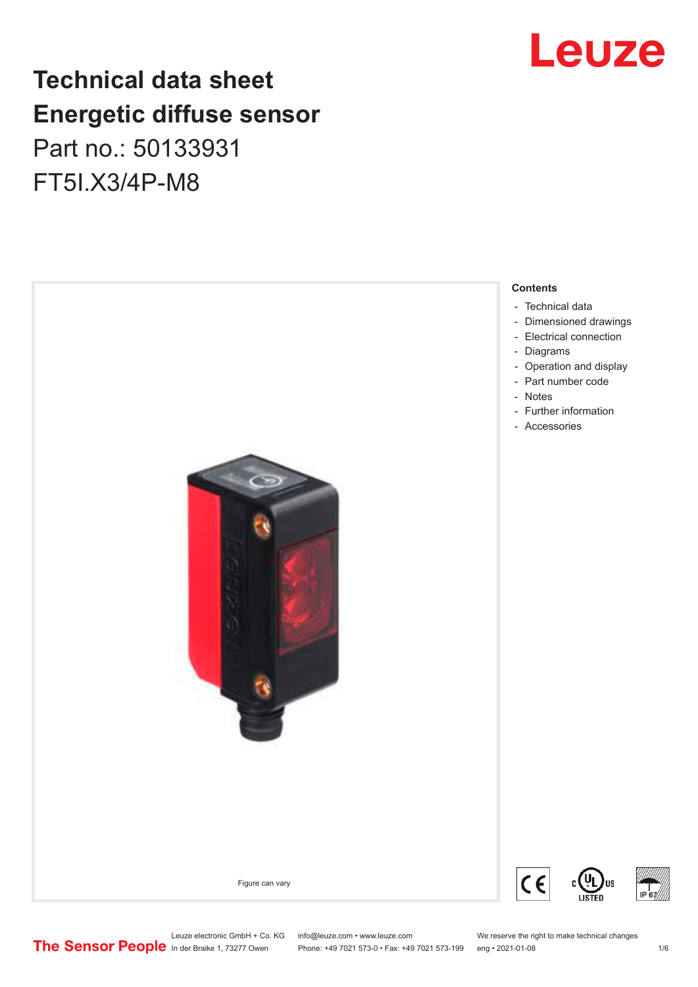# **Technical data sheet Energetic diffuse sensor**

Part no.: 50133931 FT5I.X3/4P-M8





Leuze electronic GmbH + Co. KG info@leuze.com • www.leuze.com We reserve the right to make technical changes<br>
The Sensor People in der Braike 1, 73277 Owen Phone: +49 7021 573-0 • Fax: +49 7021 573-199 eng • 2021-01-08 Phone: +49 7021 573-0 • Fax: +49 7021 573-199 eng • 2021-01-08 10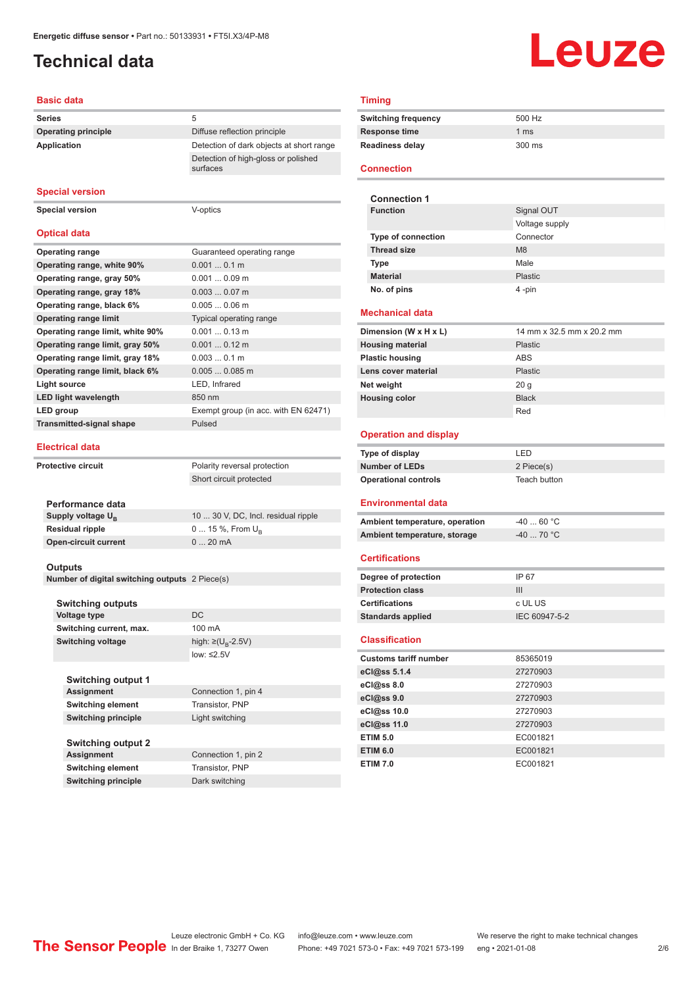# <span id="page-1-0"></span>**Technical data**

# Leuze

### **Basic data**

| <b>Series</b>              | 5                                               |
|----------------------------|-------------------------------------------------|
| <b>Operating principle</b> | Diffuse reflection principle                    |
| Application                | Detection of dark objects at short range        |
|                            | Detection of high-gloss or polished<br>surfaces |

#### **Special version**

**Special version** V-optics

### **Optical data**

| <b>Operating range</b>           | Guaranteed operating range           |
|----------------------------------|--------------------------------------|
| Operating range, white 90%       | $0.0010.1$ m                         |
| Operating range, gray 50%        | $0.0010.09$ m                        |
| Operating range, gray 18%        | $0.0030.07$ m                        |
| Operating range, black 6%        | $0.0050.06$ m                        |
| <b>Operating range limit</b>     | Typical operating range              |
| Operating range limit, white 90% | $0.0010.13$ m                        |
| Operating range limit, gray 50%  | $0.0010.12$ m                        |
| Operating range limit, gray 18%  | $0.0030.1$ m                         |
| Operating range limit, black 6%  | $0.0050.085$ m                       |
| Light source                     | LED, Infrared                        |
| <b>LED light wavelength</b>      | 850 nm                               |
| LED group                        | Exempt group (in acc. with EN 62471) |
| <b>Transmitted-signal shape</b>  | Pulsed                               |
|                                  |                                      |

#### **Electrical data**

| Protective circuit | Polarity reversal protection  |                                     |
|--------------------|-------------------------------|-------------------------------------|
|                    | Short circuit protected       |                                     |
|                    |                               |                                     |
|                    | Performance data              |                                     |
|                    | Supply voltage U <sub>p</sub> | 10  30 V, DC, Incl. residual ripple |
|                    | <b>Residual ripple</b>        | 0  15 %, From $U_{\rm B}$           |
|                    | <b>Open-circuit current</b>   | $0.20 \text{ mA}$                   |
|                    |                               |                                     |

### **Outputs**

**Number of digital switching outputs** 2 Piece(s)

| <b>Switching outputs</b>  |                                     |
|---------------------------|-------------------------------------|
| <b>Voltage type</b>       | DC                                  |
| Switching current, max.   | 100 mA                              |
| <b>Switching voltage</b>  | high: $\geq$ (U <sub>R</sub> -2.5V) |
|                           | low: $\leq 2.5V$                    |
| <b>Switching output 1</b> |                                     |

| <b>Assignment</b>          | Connection 1, pin 4 |
|----------------------------|---------------------|
| <b>Switching element</b>   | Transistor, PNP     |
| <b>Switching principle</b> | Light switching     |
| <b>Switching output 2</b>  |                     |
| <b>Assignment</b>          | Connection 1, pin 2 |
| <b>Switching element</b>   | Transistor, PNP     |
| <b>Switching principle</b> | Dark switching      |

### **Timing**

| 500 Hz |
|--------|
| 1 ms   |
| 300 ms |
|        |

### **Connection**

| <b>Connection 1</b>       |                |
|---------------------------|----------------|
| <b>Function</b>           | Signal OUT     |
|                           | Voltage supply |
| <b>Type of connection</b> | Connector      |
| <b>Thread size</b>        | M <sub>8</sub> |
| <b>Type</b>               | Male           |
| <b>Material</b>           | Plastic        |
| No. of pins               | 4 -pin         |

#### **Mechanical data**

| Dimension (W x H x L)   | 14 mm x 32.5 mm x 20.2 mm |
|-------------------------|---------------------------|
| <b>Housing material</b> | <b>Plastic</b>            |
| <b>Plastic housing</b>  | <b>ABS</b>                |
| Lens cover material     | <b>Plastic</b>            |
| Net weight              | 20q                       |
| <b>Housing color</b>    | <b>Black</b>              |
|                         | Red                       |

### **Operation and display**

| Type of display             | I FD.        |
|-----------------------------|--------------|
| Number of LEDs              | 2 Piece(s)   |
| <b>Operational controls</b> | Teach button |

### **Environmental data**

| Ambient temperature, operation | -40  60 °C |
|--------------------------------|------------|
| Ambient temperature, storage   | -40  70 °C |

### **Certifications**

| Degree of protection     | IP 67         |
|--------------------------|---------------|
| <b>Protection class</b>  | Ш             |
| <b>Certifications</b>    | c UL US       |
| <b>Standards applied</b> | IEC 60947-5-2 |

### **Classification**

| <b>Customs tariff number</b> | 85365019 |  |
|------------------------------|----------|--|
| eCl@ss 5.1.4                 | 27270903 |  |
| eCl@ss 8.0                   | 27270903 |  |
| eCl@ss 9.0                   | 27270903 |  |
| eCl@ss 10.0                  | 27270903 |  |
| eCl@ss 11.0                  | 27270903 |  |
| <b>ETIM 5.0</b>              | EC001821 |  |
| <b>ETIM 6.0</b>              | EC001821 |  |
| <b>ETIM 7.0</b>              | EC001821 |  |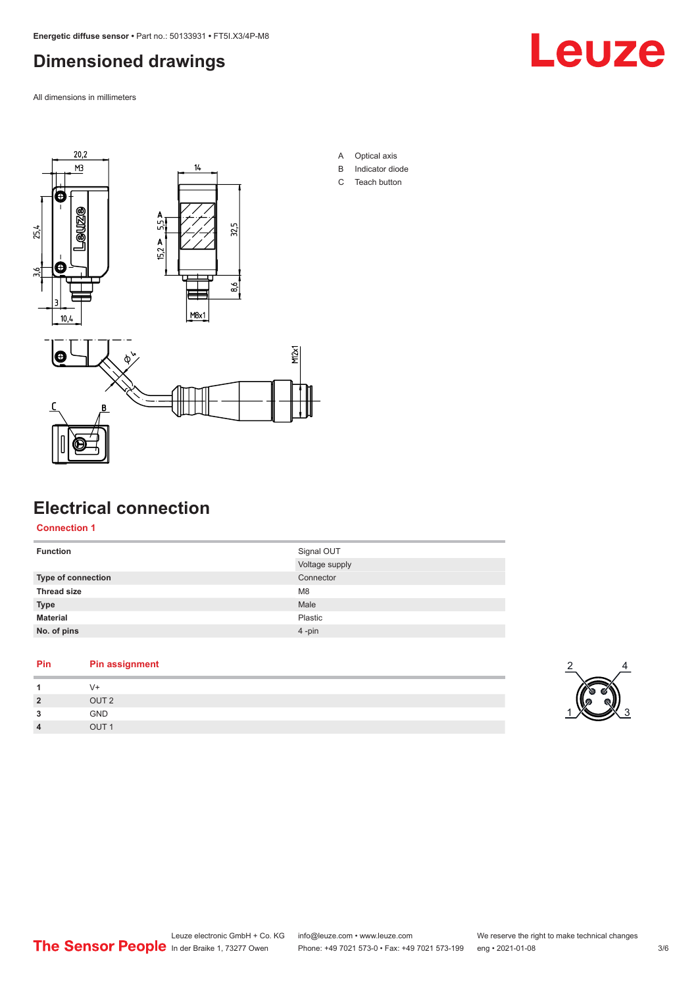# <span id="page-2-0"></span>**Dimensioned drawings**

All dimensions in millimeters





# **Electrical connection**

**Connection 1**

| <b>Function</b>    | Signal OUT     |
|--------------------|----------------|
|                    | Voltage supply |
| Type of connection | Connector      |
| <b>Thread size</b> | M <sub>8</sub> |
| <b>Type</b>        | Male           |
| <b>Material</b>    | Plastic        |
| No. of pins        | $4 - pin$      |
|                    |                |

A Optical axis B Indicator diode C Teach button

# **Pin Pin assignment**

| 1              | V+               |
|----------------|------------------|
| $\overline{2}$ | OUT <sub>2</sub> |
| 3              | GND              |
| 4              | OUT <sub>1</sub> |
|                |                  |

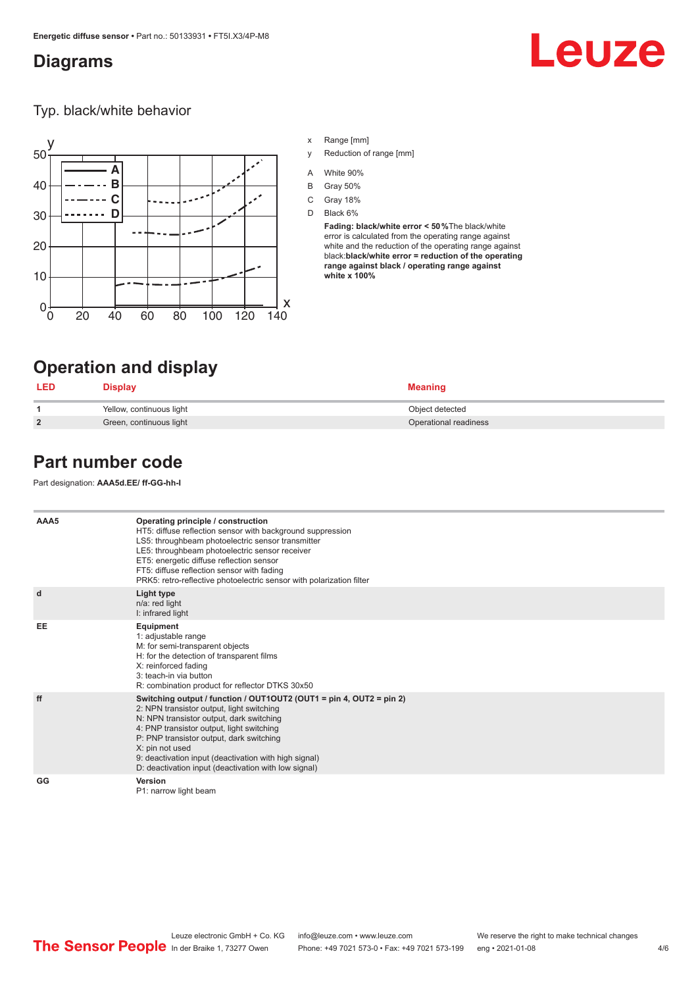### <span id="page-3-0"></span>**Diagrams**

# Leuze

Typ. black/white behavior



- x Range [mm]
- y Reduction of range [mm]
- A White 90%
- B Gray 50%
- C Gray 18%
- D Black 6%

**Fading: black/white error < 50 %**The black/white error is calculated from the operating range against white and the reduction of the operating range against black:**black/white error = reduction of the operating range against black / operating range against white x 100%**

# **Operation and display**

| LED            | $\boldsymbol{\mathsf{J}}$ isplay | <b>Meaning</b>        |
|----------------|----------------------------------|-----------------------|
|                | Yellow, continuous light         | Object detected       |
| $\overline{2}$ | Green, continuous light          | Operational readiness |

# **Part number code**

Part designation: **AAA5d.EE/ ff-GG-hh-I**

| AAA5 | Operating principle / construction<br>HT5: diffuse reflection sensor with background suppression<br>LS5: throughbeam photoelectric sensor transmitter<br>LE5: throughbeam photoelectric sensor receiver<br>ET5: energetic diffuse reflection sensor<br>FT5: diffuse reflection sensor with fading<br>PRK5: retro-reflective photoelectric sensor with polarization filter                 |
|------|-------------------------------------------------------------------------------------------------------------------------------------------------------------------------------------------------------------------------------------------------------------------------------------------------------------------------------------------------------------------------------------------|
| d    | Light type<br>n/a: red light<br>I: infrared light                                                                                                                                                                                                                                                                                                                                         |
| EE   | Equipment<br>1: adjustable range<br>M: for semi-transparent objects<br>H: for the detection of transparent films<br>X: reinforced fading<br>3: teach-in via button<br>R: combination product for reflector DTKS 30x50                                                                                                                                                                     |
| ff   | Switching output / function / OUT1OUT2 (OUT1 = pin 4, OUT2 = pin 2)<br>2: NPN transistor output, light switching<br>N: NPN transistor output, dark switching<br>4: PNP transistor output, light switching<br>P: PNP transistor output, dark switching<br>X: pin not used<br>9: deactivation input (deactivation with high signal)<br>D: deactivation input (deactivation with low signal) |
| GG   | Version<br>P1: narrow light beam                                                                                                                                                                                                                                                                                                                                                          |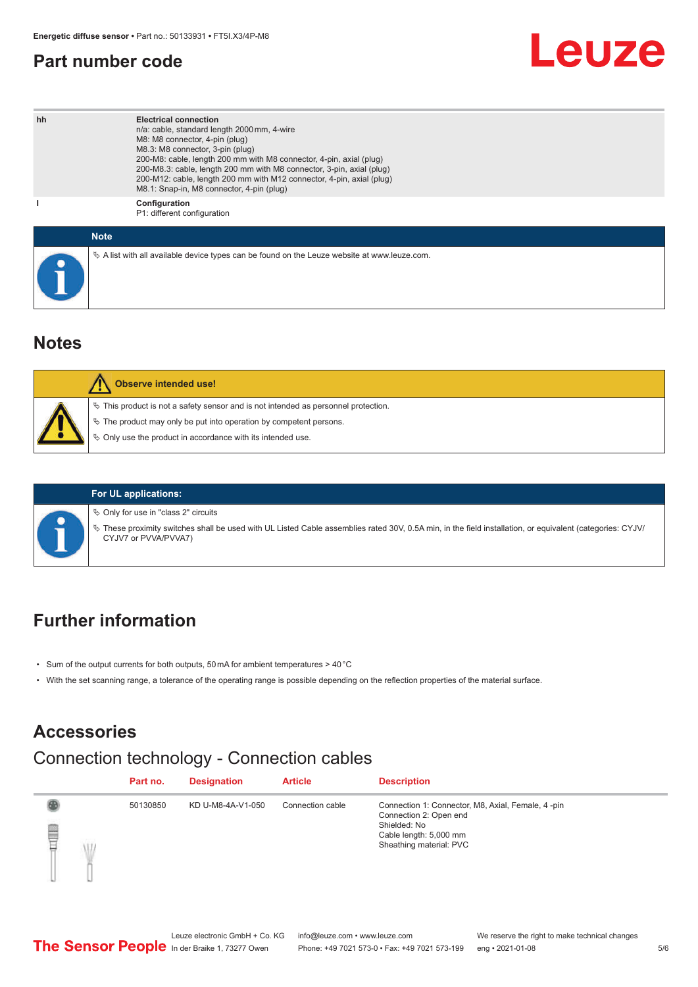## <span id="page-4-0"></span>**Part number code**

# Leuze

| hh | <b>Electrical connection</b><br>n/a: cable, standard length 2000 mm, 4-wire<br>M8: M8 connector, 4-pin (plug)<br>M8.3: M8 connector, 3-pin (plug)<br>200-M8: cable, length 200 mm with M8 connector, 4-pin, axial (plug)<br>200-M8.3: cable, length 200 mm with M8 connector, 3-pin, axial (plug)<br>200-M12: cable, length 200 mm with M12 connector, 4-pin, axial (plug)<br>M8.1: Snap-in, M8 connector, 4-pin (plug) |
|----|-------------------------------------------------------------------------------------------------------------------------------------------------------------------------------------------------------------------------------------------------------------------------------------------------------------------------------------------------------------------------------------------------------------------------|
|    | Configuration<br>P1: different configuration                                                                                                                                                                                                                                                                                                                                                                            |
|    | <b>Note</b>                                                                                                                                                                                                                                                                                                                                                                                                             |
|    | $\&$ A list with all available device types can be found on the Leuze website at www.leuze.com.                                                                                                                                                                                                                                                                                                                         |

# **Notes**

| <b>Observe intended use!</b>                                                                                                                                                                                                  |
|-------------------------------------------------------------------------------------------------------------------------------------------------------------------------------------------------------------------------------|
| $\%$ This product is not a safety sensor and is not intended as personnel protection.<br>$\%$ The product may only be put into operation by competent persons.<br>♦ Only use the product in accordance with its intended use. |

### **For UL applications:**

 $\%$  Only for use in "class 2" circuits

ª These proximity switches shall be used with UL Listed Cable assemblies rated 30V, 0.5A min, in the field installation, or equivalent (categories: CYJV/ CYJV7 or PVVA/PVVA7)

# **Further information**

- Sum of the output currents for both outputs, 50 mA for ambient temperatures > 40 °C
- With the set scanning range, a tolerance of the operating range is possible depending on the reflection properties of the material surface.

# **Accessories**

# Connection technology - Connection cables

|   |   | Part no. | <b>Designation</b> | <b>Article</b>   | <b>Description</b>                                                                                                                                |
|---|---|----------|--------------------|------------------|---------------------------------------------------------------------------------------------------------------------------------------------------|
| ₿ | Ŵ | 50130850 | KD U-M8-4A-V1-050  | Connection cable | Connection 1: Connector, M8, Axial, Female, 4 -pin<br>Connection 2: Open end<br>Shielded: No<br>Cable length: 5,000 mm<br>Sheathing material: PVC |